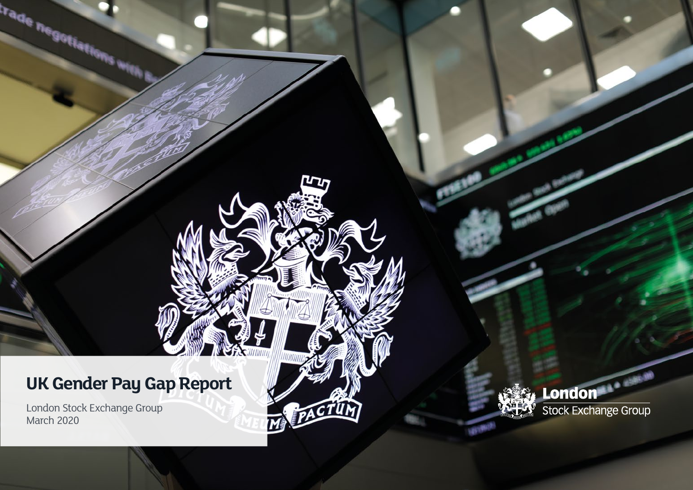# **UK Gender Pay Gap Report**

תרע

M PACTUM

London Stock Exchange Group March 2020



**<u> 1899</u>**<br>1999 - Alexander Strahoven, Orang Stock Exchange Group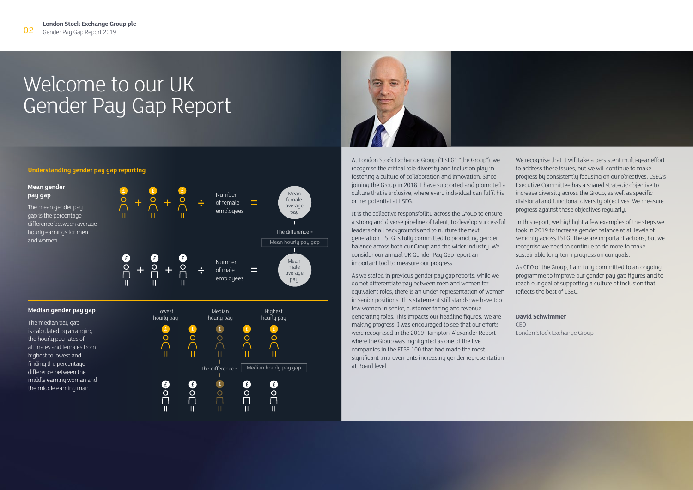# Welcome to our UK Gender Pay Gap Report



At London Stock Exchange Group ("LSEG", "the Group"), we recognise the critical role diversity and inclusion play in fostering a culture of collaboration and innovation. Since joining the Group in 2018, I have supported and promoted a culture that is inclusive, where every individual can fulfil his or her potential at LSEG.

It is the collective responsibility across the Group to ensure a strong and diverse pipeline of talent, to develop successful leaders of all backgrounds and to nurture the next generation. LSEG is fully committed to promoting gender balance across both our Group and the wider industry. We consider our annual UK Gender Pay Gap report an important tool to measure our progress.

As we stated in previous gender pay gap reports, while we do not differentiate pay between men and women for equivalent roles, there is an under-representation of women in senior positions. This statement still stands; we have too few women in senior, customer facing and revenue generating roles. This impacts our headline figures. We are making progress. I was encouraged to see that our efforts were recognised in the 2019 Hampton-Alexander Report where the Group was highlighted as one of the five companies in the FTSE 100 that had made the most significant improvements increasing gender representation at Board level.

We recognise that it will take a persistent multi-year effort to address these issues, but we will continue to make progress by consistently focusing on our objectives. LSEG's Executive Committee has a shared strategic objective to increase diversity across the Group, as well as specific divisional and functional diversity objectives. We measure progress against these objectives regularly.

In this report, we highlight a few examples of the steps we took in 2019 to increase gender balance at all levels of seniority across LSEG. These are important actions, but we recognise we need to continue to do more to make sustainable long-term progress on our goals.

As CEO of the Group, I am fully committed to an ongoing programme to improve our gender pay gap figures and to reach our goal of supporting a culture of inclusion that reflects the best of LSEG.

### **David Schwimmer**

CEO London Stock Exchange Group

### **Understanding gender pay gap reporting**



The median pau gap

is calculated by arranging the hourly pay rates of all males and females from highest to lowest and finding the percentage difference between the middle earning woman and the middle earning man.

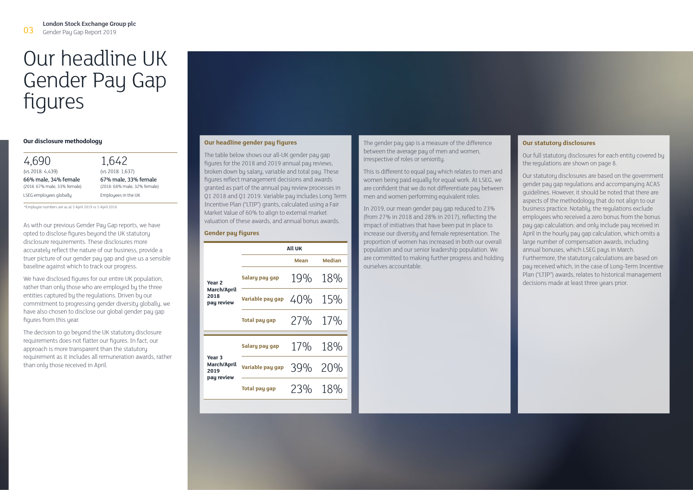# Our headline UK Gender Pay Gap figures

4,690 (vs 2018: 4,439) 66% male, 34% female (2018: 67% male, 33% female) LSEG employees globally

1,642 (vs 2018: 1,637) 67% male, 33% female (2018: 68% male, 32% female) Employees in the UK

\*Employee numbers are as at 5 April 2019 vs 5 April 2018

As with our previous Gender Pay Gap reports, we have opted to disclose figures beyond the UK statutory disclosure requirements. These disclosures more accurately reflect the nature of our business, provide a truer picture of our gender pay gap and give us a sensible baseline against which to track our progress.

We have disclosed figures for our entire UK population, rather than only those who are employed by the three entities captured by the regulations. Driven by our commitment to progressing gender diversity globally, we have also chosen to disclose our global gender pay gap figures from this year.

The decision to go beyond the UK statutory disclosure requirements does not flatter our figures. In fact, our approach is more transparent than the statutory requirement as it includes all remuneration awards, rather than only those received in April.

## **Our headline gender pay figures**

The table below shows our all-UK gender pay gap figures for the 2018 and 2019 annual pay reviews, broken down by salary, variable and total pay. These figures reflect management decisions and awards granted as part of the annual pay review processes in Q1 2018 and Q1 2019. Variable pay includes Long Term Incentive Plan ("LTIP") grants, calculated using a Fair Market Value of 60% to align to external market valuation of these awards, and annual bonus awards.

### **Gender pay figures**

|                                                        | All UK               |         |               |
|--------------------------------------------------------|----------------------|---------|---------------|
|                                                        |                      | Mean    | <b>Median</b> |
| Year <sub>2</sub><br>March/April<br>2018<br>pay review | Salary pay gap       | 19%     | 18%           |
|                                                        | Variable pay gap     | 40%     | 15%           |
|                                                        | <b>Total pay gap</b> | 27%     | 17%           |
| Year <sub>3</sub><br>March/April<br>2019<br>pay review | Salary pay gap       | 17% 18% |               |
|                                                        | Variable pay gap     | 39%     | 20%           |
|                                                        | <b>Total pay gap</b> | 23% 18% |               |
|                                                        |                      |         |               |

**Our disclosure methodology and the gender pay figures** and the gender pay gap is a measure of the difference **Cour statutory disclosures** between the average pay of men and women, irrespective of roles or seniority.

> This is different to equal pay which relates to men and women being paid equally for equal work. At LSEG, we are confident that we do not differentiate pay between men and women performing equivalent roles.

> In 2019, our mean gender pay gap reduced to 23% (from 27% in 2018 and 28% in 2017), reflecting the impact of initiatives that have been put in place to increase our diversity and female representation. The proportion of women has increased in both our overall population and our senior leadership population. We are committed to making further progress and holding ourselves accountable.

Our full statutory disclosures for each entity covered by the regulations are shown on page 8.

Our statutory disclosures are based on the government gender pay gap regulations and accompanying ACAS guidelines. However, it should be noted that there are aspects of the methodology that do not align to our business practice. Notably, the regulations exclude employees who received a zero bonus from the bonus pay gap calculation; and only include pay received in April in the hourly pay gap calculation, which omits a large number of compensation awards, including annual bonuses, which LSEG pays in March. Furthermore, the statutory calculations are based on pay received which, in the case of Long-Term Incentive Plan ("LTIP") awards, relates to historical management decisions made at least three years prior.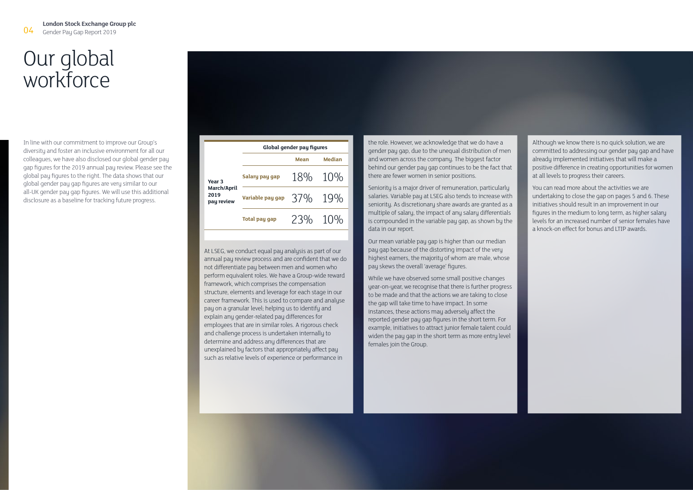# Our global workforce

In line with our commitment to improve our Group's diversity and foster an inclusive environment for all our colleagues, we have also disclosed our global gender pay gap figures for the 2019 annual pay review. Please see the global pay figures to the right. The data shows that our global gender pay gap figures are very similar to our all-UK gender pay gap figures. We will use this additional disclosure as a baseline for tracking future progress.

|                                                        | Global gender pay figures |         |        |
|--------------------------------------------------------|---------------------------|---------|--------|
| Year <sub>3</sub><br>March/April<br>2019<br>pay review |                           | Mean    | Median |
|                                                        | Salary pay gap            | 18% 10% |        |
|                                                        | Variable pay gap          | 37% 19% |        |
|                                                        | <b>Total pay gap</b>      | 23% 10% |        |

At LSEG, we conduct equal pay analysis as part of our annual pay review process and are confident that we do not differentiate pay between men and women who perform equivalent roles. We have a Group-wide reward framework, which comprises the compensation structure, elements and leverage for each stage in our career framework. This is used to compare and analyse pay on a granular level; helping us to identify and explain any gender-related pay differences for employees that are in similar roles. A rigorous check and challenge process is undertaken internally to determine and address any differences that are unexplained by factors that appropriately affect pay such as relative levels of experience or performance in

the role. However, we acknowledge that we do have a gender pay gap, due to the unequal distribution of men and women across the company. The biggest factor behind our gender pay gap continues to be the fact that there are fewer women in senior positions.

Seniority is a major driver of remuneration, particularly salaries. Variable pay at LSEG also tends to increase with seniority. As discretionary share awards are granted as a multiple of salary, the impact of any salary differentials is compounded in the variable pay gap, as shown by the data in our report.

Our mean variable pay gap is higher than our median pay gap because of the distorting impact of the very highest earners, the majority of whom are male, whose pay skews the overall 'average' figures.

While we have observed some small positive changes uear-on-year, we recognise that there is further progress to be made and that the actions we are taking to close the gap will take time to have impact. In some instances, these actions may adversely affect the reported gender pay gap figures in the short term. For example, initiatives to attract junior female talent could widen the pay gap in the short term as more entry level females join the Group.

Although we know there is no quick solution, we are committed to addressing our gender pay gap and have already implemented initiatives that will make a positive difference in creating opportunities for women at all levels to progress their careers.

You can read more about the activities we are undertaking to close the gap on pages 5 and 6. These initiatives should result in an improvement in our figures in the medium to long term, as higher salary levels for an increased number of senior females have a knock-on effect for bonus and LTIP awards.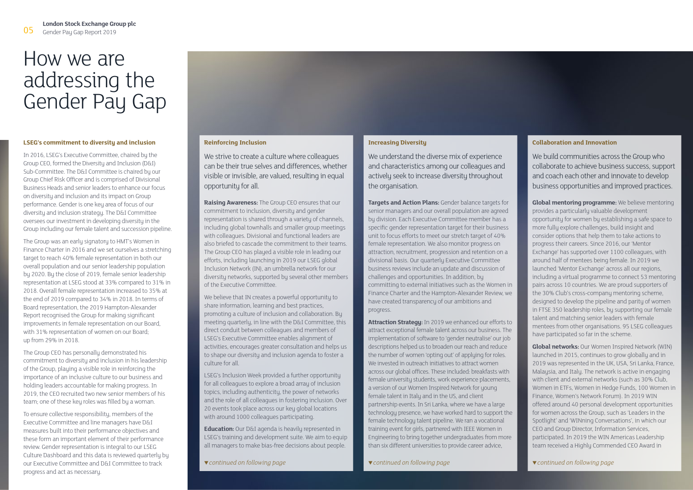# How we are addressing the Gender Pay Gap

### **LSEG's commitment to diversity and inclusion**

In 2016, LSEG's Executive Committee, chaired by the Group CEO, formed the Diversity and Inclusion (D&I) Sub-Committee. The D&I Committee is chaired by our Group Chief Risk Officer and is comprised of Divisional Business Heads and senior leaders to enhance our focus on diversity and inclusion and its impact on Group performance. Gender is one key area of focus of our diversity and inclusion strategy. The D&I Committee oversees our investment in developing diversity in the Group including our female talent and succession pipeline.

The Group was an early signatory to HMT's Women in Finance Charter in 2016 and we set ourselves a stretching target to reach 40% female representation in both our overall population and our senior leadership population by 2020. By the close of 2019, female senior leadership representation at LSEG stood at 33% compared to 31% in 2018. Overall female representation increased to 35% at the end of 2019 compared to 34% in 2018. In terms of Board representation, the 2019 Hampton-Alexander Report recognised the Group for making significant improvements in female representation on our Board, with 31% representation of women on our Board; up from 29% in 2018.

The Group CEO has personally demonstrated his commitment to diversity and inclusion in his leadership of the Group, playing a visible role in reinforcing the importance of an inclusive culture to our business and holding leaders accountable for making progress. In 2019, the CEO recruited two new senior members of his team; one of these key roles was filled by a woman.

To ensure collective responsibility, members of the Executive Committee and line managers have D&I measures built into their performance objectives and these form an important element of their performance review. Gender representation is integral to our LSEG Culture Dashboard and this data is reviewed quarterly by our Executive Committee and D&I Committee to track progress and act as necessary.

### **Reinforcing Inclusion**

We strive to create a culture where colleagues can be their true selves and differences, whether visible or invisible, are valued, resulting in equal opportunity for all.

**Raising Awareness:** The Group CEO ensures that our commitment to inclusion, diversity and gender representation is shared through a variety of channels, including global townhalls and smaller group meetings with colleagues. Divisional and functional leaders are also briefed to cascade the commitment to their teams. The Group CEO has played a visible role in leading our efforts, including launching in 2019 our LSEG global Inclusion Network (IN), an umbrella network for our diversity networks, supported by several other members of the Executive Committee.

We believe that IN creates a powerful opportunity to share information, learning and best practices, promoting a culture of inclusion and collaboration. By meeting quarterly, in line with the D&I Committee, this direct conduit between colleagues and members of LSEG's Executive Committee enables alignment of activities, encourages greater consultation and helps us to shape our diversity and inclusion agenda to foster a culture for all.

LSEG's Inclusion Week provided a further opportunity for all colleagues to explore a broad array of inclusion topics, including authenticity, the power of networks and the role of all colleagues in fostering inclusion. Over 20 events took place across our key global locations with around 1000 colleagues participating.

**Education:** Our D&I agenda is heavily represented in LSEG's training and development suite. We aim to equip all managers to make bias-free decisions about people.

## **Increasing Diversity**

We understand the diverse mix of experience and characteristics among our colleagues and actively seek to increase diversity throughout the organisation.

**Targets and Action Plans:** Gender balance targets for senior managers and our overall population are agreed by division. Each Executive Committee member has a specific gender representation target for their business unit to focus efforts to meet our stretch target of 40% female representation. We also monitor progress on attraction, recruitment, progression and retention on a divisional basis. Our quarterly Executive Committee business reviews include an update and discussion of challenges and opportunities. In addition, by committing to external initiatives such as the Women in Finance Charter and the Hampton-Alexander Review, we have created transparency of our ambitions and progress.

**Attraction Strategy:** In 2019 we enhanced our efforts to attract exceptional female talent across our business. The implementation of software to 'gender neutralise' our job descriptions helped us to broaden our reach and reduce the number of women 'opting out' of applying for roles. We invested in outreach initiatives to attract women across our global offices. These included: breakfasts with female university students, work experience placements, a version of our Women Inspired Network for young female talent in Italy and in the US, and client partnership events. In Sri Lanka, where we have a large technology presence, we have worked hard to support the female technology talent pipeline. We ran a vocational training event for girls, partnered with IEEE Women in Engineering to bring together undergraduates from more than six different universities to provide career advice,

### **Collaboration and Innovation**

We build communities across the Group who collaborate to achieve business success, support and coach each other and innovate to develop business opportunities and improved practices.

**Global mentoring programme:** We believe mentoring provides a particularly valuable development opportunity for women by establishing a safe space to more fully explore challenges, build insight and consider options that help them to take actions to progress their careers. Since 2016, our 'Mentor Exchange' has supported over 1100 colleagues, with around half of mentees being female. In 2019 we launched 'Mentor Exchange' across all our regions, including a virtual programme to connect 53 mentoring pairs across 10 countries. We are proud supporters of the 30% Club's cross-company mentoring scheme, designed to develop the pipeline and parity of women in FTSE 350 leadership roles, by supporting our female talent and matching senior leaders with female mentees from other organisations. 95 LSEG colleagues have participated so far in the scheme.

**Global networks:** Our Women Inspired Network (WIN) launched in 2015, continues to grow globally and in 2019 was represented in the UK, USA, Sri Lanka, France, Malaysia, and Italy. The network is active in engaging with client and external networks (such as 30% Club, Women in ETFs, Women in Hedge Funds, 100 Women in Finance, Women's Network Forum). In 2019 WIN offered around 40 personal development opportunities for women across the Group, such as 'Leaders in the Spotlight' and 'WINning Conversations', in which our CEO and Group Director, Information Services, participated. In 2019 the WIN Americas Leadership team received a Highly Commended CEO Award in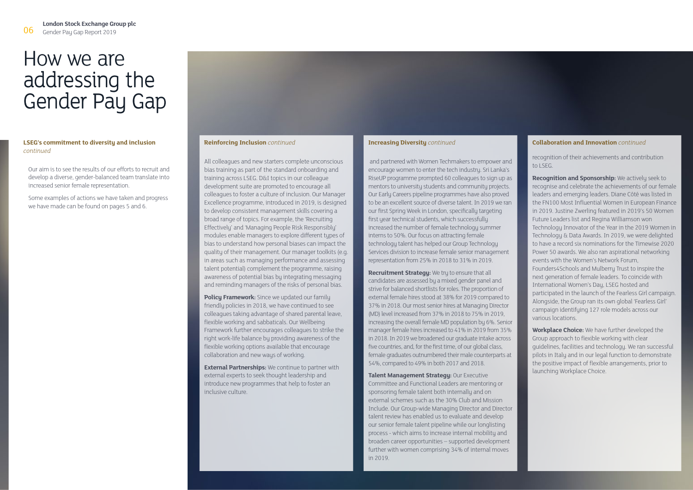# How we are addressing the Gender Pay Gap

### **LSEG's commitment to diversity and inclusion**  *continued*

Our aim is to see the results of our efforts to recruit and develop a diverse, gender-balanced team translate into increased senior female representation.

Some examples of actions we have taken and progress we have made can be found on pages 5 and 6.

All colleagues and new starters complete unconscious bias training as part of the standard onboarding and training across LSEG. D&I topics in our colleague development suite are promoted to encourage all colleagues to foster a culture of inclusion. Our Manager Excellence programme, introduced in 2019, is designed to develop consistent management skills covering a broad range of topics. For example, the 'Recruiting Effectively' and 'Managing People Risk Responsibly' modules enable managers to explore different types of bias to understand how personal biases can impact the quality of their management. Our manager toolkits (e.g. in areas such as managing performance and assessing talent potential) complement the programme, raising awareness of potential bias by integrating messaging and reminding managers of the risks of personal bias.

**Policu Framework:** Since we updated our family friendly policies in 2018, we have continued to see colleagues taking advantage of shared parental leave, flexible working and sabbaticals. Our Wellbeing Framework further encourages colleagues to strike the right work-life balance by providing awareness of the flexible working options available that encourage collaboration and new ways of working.

**External Partnerships:** We continue to partner with external experts to seek thought leadership and introduce new programmes that help to foster an inclusive culture.

### **Increasing Diversity** *continued*

 and partnered with Women Techmakers to empower and encourage women to enter the tech industry. Sri Lanka's RiseUP programme prompted 60 colleagues to sign up as mentors to university students and community projects. Our Early Careers pipeline programmes have also proved to be an excellent source of diverse talent. In 2019 we ran our first Spring Week in London, specifically targeting first year technical students, which successfully increased the number of female technology summer interns to 50%. Our focus on attracting female technology talent has helped our Group Technology Services division to increase female senior management representation from 25% in 2018 to 31% in 2019.

**Recruitment Strategy:** We try to ensure that all candidates are assessed by a mixed gender panel and strive for balanced shortlists for roles. The proportion of external female hires stood at 38% for 2019 compared to 37% in 2018. Our most senior hires at Managing Director (MD) level increased from 37% in 2018 to 75% in 2019, increasing the overall female MD population by 6%. Senior manager female hires increased to 41% in 2019 from 35% in 2018. In 2019 we broadened our graduate intake across five countries, and, for the first time, of our global class, female graduates outnumbered their male counterparts at 54%, compared to 49% in both 2017 and 2018.

**Talent Management Strategy:** Our Executive Committee and Functional Leaders are mentoring or sponsoring female talent both internally and on external schemes such as the 30% Club and Mission Include. Our Group-wide Managing Director and Director talent review has enabled us to evaluate and develop our senior female talent pipeline while our longlisting process - which aims to increase internal mobility and broaden career opportunities – supported development further with women comprising 34% of internal moves in 2019.

### **Reinforcing Inclusion** *continued* **Collaboration** *and Innovation**continued* **<b>Collaboration and Innovation** *continued*

recognition of their achievements and contribution to LSEG.

**Recognition and Sponsorship:** We actively seek to recognise and celebrate the achievements of our female leaders and emerging leaders. Diane Côté was listed in the FN100 Most Influential Women in European Finance in 2019. Justine Zwerling featured in 2019's 50 Women Future Leaders list and Regina Williamson won Technology Innovator of the Year in the 2019 Women in Technology & Data Awards. In 2019, we were delighted to have a record six nominations for the Timewise 2020 Power 50 awards. We also ran aspirational networking events with the Women's Network Forum, Founders4Schools and Mulberry Trust to inspire the next generation of female leaders. To coincide with International Women's Day, LSEG hosted and participated in the launch of the Fearless Girl campaign. Alongside, the Group ran its own global 'Fearless Girl' campaign identifying 127 role models across our various locations.

**Workplace Choice:** We have further developed the Group approach to flexible working with clear guidelines, facilities and technology. We ran successful pilots in Italy and in our legal function to demonstrate the positive impact of flexible arrangements, prior to launching Workplace Choice.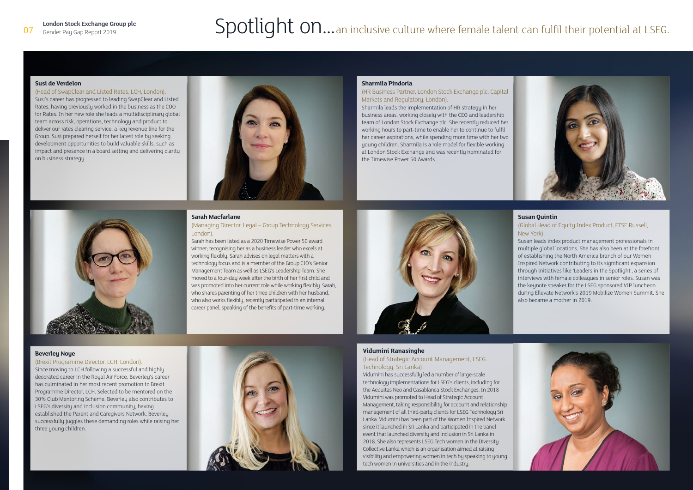# **London Stock Exchange Group plc Spotlight on...**an inclusive culture where female talent can fulfil their potential at LSEG.

### **Susi de Verdelon**

## (Head of SwapClear and Listed Rates, LCH, London).

Susi's career has progressed to leading SwapClear and Listed Rates, having previously worked in the business as the COO for Rates. In her new role she leads a multidisciplinary global team across risk, operations, technology and product to deliver our rates clearing service, a key revenue line for the Group. Susi prepared herself for her latest role by seeking development opportunities to build valuable skills, such as impact and presence in a board setting and delivering clarity on business strategy.



## **Sarah Macfarlane**

### (Managing Director, Legal – Group Technology Services, London).

Sarah has been listed as a 2020 Timewise Power 50 award winner: recognising her as a business leader who excels at working flexibly. Sarah advises on legal matters with a technology focus and is a member of the Group CIO's Senior Management Team as well as LSEG's Leadership Team. She moved to a four-day week after the birth of her first child and was promoted into her current role while working flexibly. Sarah, who shares parenting of her three children with her husband, who also works flexiblu, recentlu participated in an internal career panel, speaking of the benefits of part-time working.

**Beverley Noye**

(Brexit Programme Director, LCH, London). Since moving to LCH following a successful and highly decorated career in the Royal Air Force, Beverley's career has culminated in her most recent promotion to Brexit Programme Director, LCH. Selected to be mentored on the 30% Club Mentoring Scheme, Beverley also contributes to LSEG's diversity and inclusion community, having established the Parent and Caregivers Network. Beverley successfully juggles these demanding roles while raising her three young children.



### **Sharmila Pindoria**

## (HR Business Partner, London Stock Exchange plc, Capital Markets and Regulatory, London).

Sharmila leads the implementation of HR strategy in her business areas, working closely with the CEO and leadership team of London Stock Exchange plc. She recently reduced her working hours to part-time to enable her to continue to fulfil her career aspirations, while spending more time with her two young children. Sharmila is a role model for flexible working at London Stock Exchange and was recently nominated for the Timewise Power 50 Awards.



# **Susan Quintin**

## (Global Head of Equity Index Product, FTSE Russell, New York).

Susan leads index product management professionals in multiple global locations. She has also been at the forefront of establishing the North America branch of our Women Inspired Network contributing to its significant expansion through initiatives like 'Leaders in the Spotlight', a series of interviews with female colleagues in senior roles. Susan was the keynote speaker for the LSEG sponsored VIP luncheon during Ellevate Network's 2019 Mobilize Women Summit. She also became a mother in 2019.

### **Vidumini Ranasinghe**

### (Head of Strategic Account Management, LSEG Technology, Sri Lanka).

Vidumini has successfully led a number of large-scale technology implementations for LSEG's clients, including for the Aequitas Neo and Casablanca Stock Exchanges. In 2018 Vidumini was promoted to Head of Strategic Account Management, taking responsibility for account and relationship management of all third-party clients for LSEG Technology Sri Lanka. Vidumini has been part of the Women Inspired Network since it launched in Sri Lanka and participated in the panel event that launched diversity and inclusion in Sri Lanka in 2018. She also represents LSEG Tech women in the Diversity Collective Lanka which is an organisation aimed at raising visibility and empowering women in tech by speaking to young tech women in universities and in the industry.

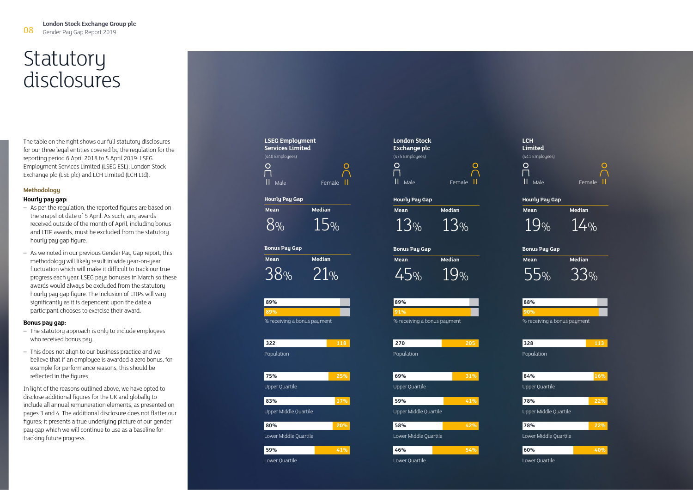# **Statutory** disclosures

The table on the right shows our full statutory disclosures for our three legal entities covered by the regulation for the reporting period 6 April 2018 to 5 April 2019: LSEG Employment Services Limited (LSEG ESL), London Stock Exchange plc (LSE plc) and LCH Limited (LCH Ltd).

# **Methodology**

# **Hourly pay gap:**

- As per the regulation, the reported figures are based on the snapshot date of 5 April. As such, any awards received outside of the month of April, including bonus and LTIP awards, must be excluded from the statutory hourly pay gap figure.
- As we noted in our previous Gender Pay Gap report, this methodology will likely result in wide year-on-year fluctuation which will make it difficult to track our true progress each year. LSEG pays bonuses in March so these awards would always be excluded from the statutory hourly pay gap figure. The inclusion of LTIPs will vary significantly as it is dependent upon the date a participant chooses to exercise their award.

### **Bonus pay gap:**

- The statutory approach is only to include employees who received bonus pay.
- This does not align to our business practice and we believe that if an employee is awarded a zero bonus, for example for performance reasons, this should be reflected in the figures.

In light of the reasons outlined above, we have opted to disclose additional figures for the UK and globally to include all annual remuneration elements, as presented on pages 3 and 4. The additional disclosure does not flatter our figures; it presents a true underlying picture of our gender pay gap which we will continue to use as a baseline for tracking future progress.

**LSEG Employment Services Limited** (440 Employees)  $\circ$  $\circ$  $\Box$ Il Male Female II



**Bonus Pay Gap Mean Median** 38% 21%

 **59% 41%** 

 **80% 20%** 

 **83% 17%** 

 **75% 25%** 

 **322 118**

% receiving a bonus payment

Lower Quartile

Lower Middle Quartile

Upper Middle Quartile

Upper Quartile

Population

 **89% 89%**

| <b>London Stock</b><br>Exchange plc |        |
|-------------------------------------|--------|
| (475 Employees)                     |        |
|                                     |        |
| Г                                   |        |
| Ш<br>Male                           | Female |

 $\Omega$ 

Hou<br>Me

| Hourly Pay Gap |                |
|----------------|----------------|
| Mean           | Median         |
| $B_{\%}$       | $R_{\text{0}}$ |

| <b>Bonus Pay Gap</b> |               |
|----------------------|---------------|
| Mean                 | <b>Median</b> |
| 45%                  | $Q_{0}$       |

| ープの | $J'$ 10 |
|-----|---------|
| 89% |         |
|     |         |

% receiving a bonus payment

**270 205**

 **46% 54%** 

 **58% 42%** 

 **59% 41%** 

 **69% 31%** 

Lower Quartile

Lower Middle Quartile

Upper Middle Quartile

Upper Quartile

Population

| 0070                        |  |
|-----------------------------|--|
| 90%                         |  |
| % receiving a bonus payment |  |

**LCH Limited** (441 Employees)

 $\circ$ 

 $\Box$ 

**Hourly Pay Gap**

**Bonus Pay Gap**

 **88%**

**Mean Median** 19% 14%

Il Male Female II

 $\circ$ 

**Mean Median** 55% 33%

| 328                          | 113 |
|------------------------------|-----|
| Population                   |     |
|                              |     |
| 84%                          | 16% |
| Upper Quartile               |     |
| 78%                          | 22% |
| <b>Upper Middle Quartile</b> |     |
| 78%                          | 22% |
| Lower Middle Quartile        |     |
| 60%                          | 40% |
|                              |     |

Lower Quartile